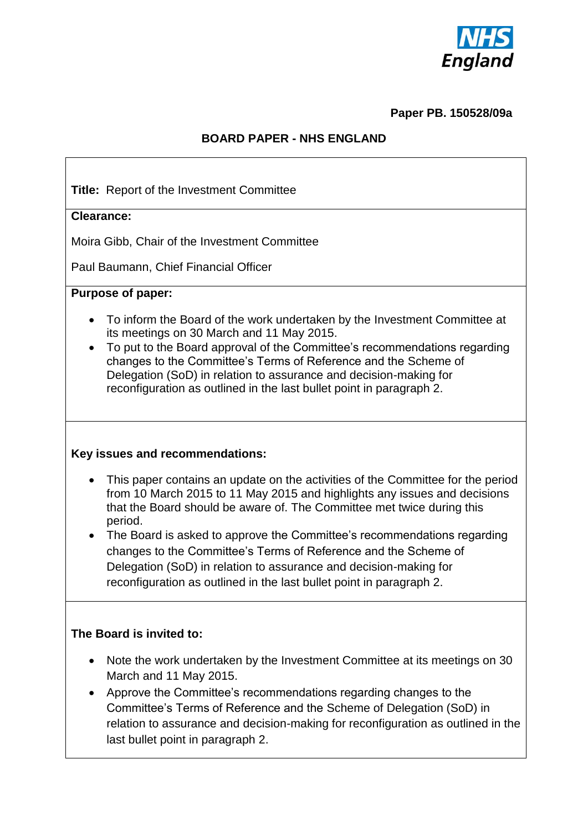

#### **Paper PB. 150528/09a**

## **BOARD PAPER - NHS ENGLAND**

**Title:** Report of the Investment Committee

## **Clearance:**

Moira Gibb, Chair of the Investment Committee

Paul Baumann, Chief Financial Officer

#### **Purpose of paper:**

- To inform the Board of the work undertaken by the Investment Committee at its meetings on 30 March and 11 May 2015.
- To put to the Board approval of the Committee's recommendations regarding changes to the Committee's Terms of Reference and the Scheme of Delegation (SoD) in relation to assurance and decision-making for reconfiguration as outlined in the last bullet point in paragraph 2.

## **Key issues and recommendations:**

- This paper contains an update on the activities of the Committee for the period from 10 March 2015 to 11 May 2015 and highlights any issues and decisions that the Board should be aware of. The Committee met twice during this period.
- The Board is asked to approve the Committee's recommendations regarding changes to the Committee's Terms of Reference and the Scheme of Delegation (SoD) in relation to assurance and decision-making for reconfiguration as outlined in the last bullet point in paragraph 2.

## **The Board is invited to:**

- Note the work undertaken by the Investment Committee at its meetings on 30 March and 11 May 2015.
- Approve the Committee's recommendations regarding changes to the Committee's Terms of Reference and the Scheme of Delegation (SoD) in relation to assurance and decision-making for reconfiguration as outlined in the last bullet point in paragraph 2.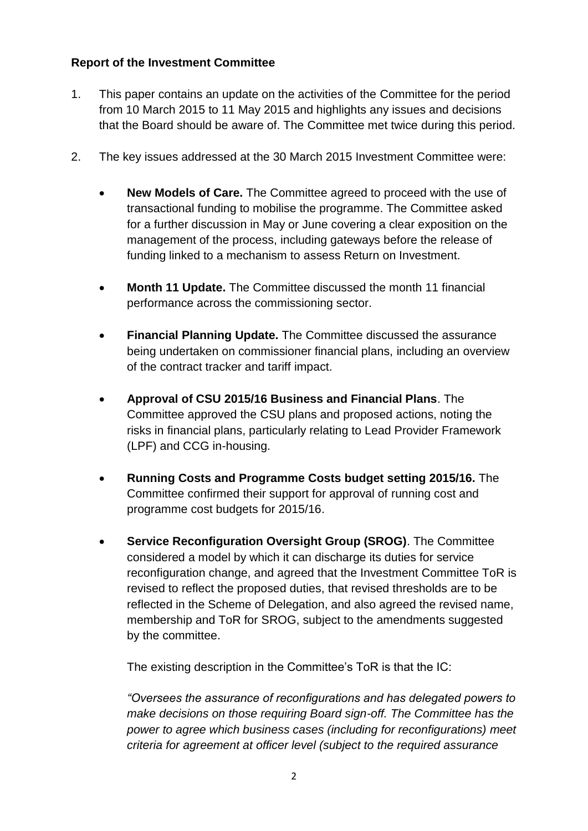# **Report of the Investment Committee**

- 1. This paper contains an update on the activities of the Committee for the period from 10 March 2015 to 11 May 2015 and highlights any issues and decisions that the Board should be aware of. The Committee met twice during this period.
- 2. The key issues addressed at the 30 March 2015 Investment Committee were:
	- **New Models of Care.** The Committee agreed to proceed with the use of transactional funding to mobilise the programme. The Committee asked for a further discussion in May or June covering a clear exposition on the management of the process, including gateways before the release of funding linked to a mechanism to assess Return on Investment.
	- **Month 11 Update.** The Committee discussed the month 11 financial performance across the commissioning sector.
	- **Financial Planning Update.** The Committee discussed the assurance being undertaken on commissioner financial plans, including an overview of the contract tracker and tariff impact.
	- **Approval of CSU 2015/16 Business and Financial Plans**. The Committee approved the CSU plans and proposed actions, noting the risks in financial plans, particularly relating to Lead Provider Framework (LPF) and CCG in-housing.
	- **Running Costs and Programme Costs budget setting 2015/16.** The Committee confirmed their support for approval of running cost and programme cost budgets for 2015/16.
	- **Service Reconfiguration Oversight Group (SROG)**. The Committee considered a model by which it can discharge its duties for service reconfiguration change, and agreed that the Investment Committee ToR is revised to reflect the proposed duties, that revised thresholds are to be reflected in the Scheme of Delegation, and also agreed the revised name, membership and ToR for SROG, subject to the amendments suggested by the committee.

The existing description in the Committee's ToR is that the IC:

*"Oversees the assurance of reconfigurations and has delegated powers to make decisions on those requiring Board sign-off. The Committee has the power to agree which business cases (including for reconfigurations) meet criteria for agreement at officer level (subject to the required assurance*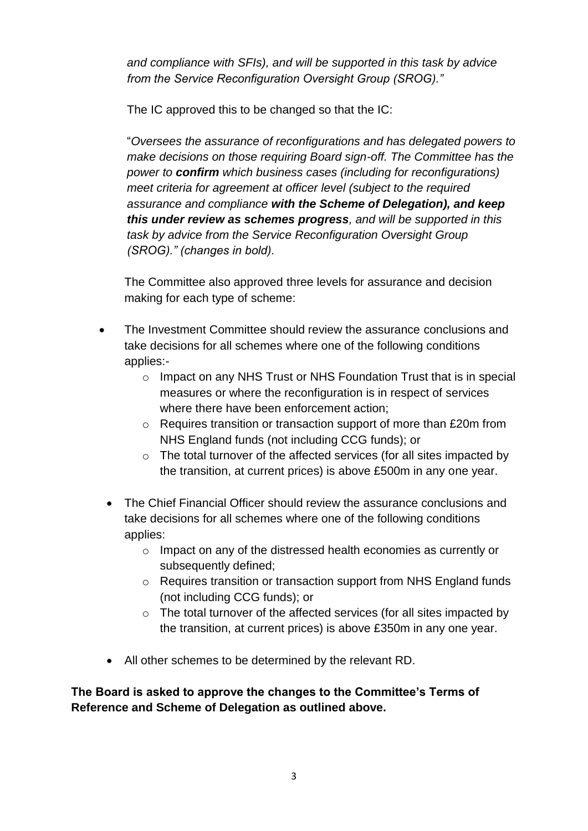*and compliance with SFIs), and will be supported in this task by advice from the Service Reconfiguration Oversight Group (SROG)."*

The IC approved this to be changed so that the IC:

"*Oversees the assurance of reconfigurations and has delegated powers to make decisions on those requiring Board sign-off. The Committee has the power to confirm which business cases (including for reconfigurations) meet criteria for agreement at officer level (subject to the required assurance and compliance with the Scheme of Delegation), and keep this under review as schemes progress, and will be supported in this task by advice from the Service Reconfiguration Oversight Group (SROG)." (changes in bold).*

The Committee also approved three levels for assurance and decision making for each type of scheme:

- The Investment Committee should review the assurance conclusions and take decisions for all schemes where one of the following conditions applies:-
	- $\circ$  Impact on any NHS Trust or NHS Foundation Trust that is in special measures or where the reconfiguration is in respect of services where there have been enforcement action;
	- o Requires transition or transaction support of more than £20m from NHS England funds (not including CCG funds); or
	- $\circ$  The total turnover of the affected services (for all sites impacted by the transition, at current prices) is above £500m in any one year.
	- The Chief Financial Officer should review the assurance conclusions and take decisions for all schemes where one of the following conditions applies:
		- o Impact on any of the distressed health economies as currently or subsequently defined;
		- o Requires transition or transaction support from NHS England funds (not including CCG funds); or
		- o The total turnover of the affected services (for all sites impacted by the transition, at current prices) is above £350m in any one year.
	- All other schemes to be determined by the relevant RD.

**The Board is asked to approve the changes to the Committee's Terms of Reference and Scheme of Delegation as outlined above.**